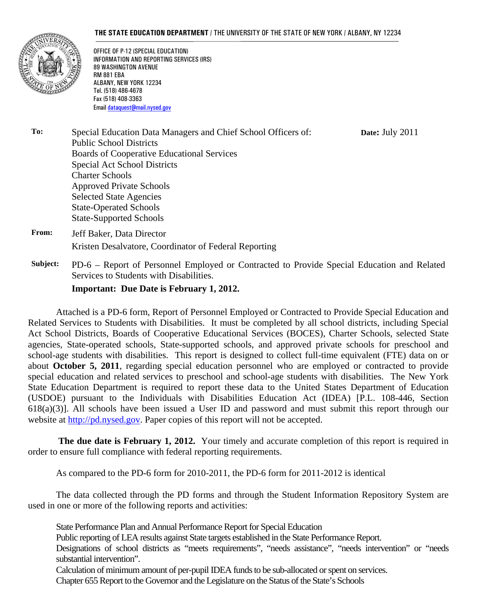#### **THE STATE EDUCATION DEPARTMENT** / THE UNIVERSITY OF THE STATE OF NEW YORK / ALBANY, NY 12234

**Date:** July 2011



OFFICE OF P-12 (SPECIAL EDUCATION) INFORMATION AND REPORTING SERVICES (IRS) 89 WASHINGTON AVENUE RM 881 EBA ALBANY, NEW YORK 12234 Tel. (518) 486-4678 Fax (518) 408-3363 Email dataquest@mail.nysed.gov

**To:** Special Education Data Managers and Chief School Officers of: Public School Districts Boards of Cooperative Educational Services Special Act School Districts Charter Schools Approved Private Schools Selected State Agencies State-Operated Schools State-Supported Schools

**From:** Jeff Baker, Data Director Kristen Desalvatore, Coordinator of Federal Reporting

**Subject:** PD-6 – Report of Personnel Employed or Contracted to Provide Special Education and Related Services to Students with Disabilities.

#### **Important: Due Date is February 1, 2012.**

Attached is a PD-6 form, Report of Personnel Employed or Contracted to Provide Special Education and Related Services to Students with Disabilities. It must be completed by all school districts, including Special Act School Districts, Boards of Cooperative Educational Services (BOCES), Charter Schools, selected State agencies, State-operated schools, State-supported schools, and approved private schools for preschool and school-age students with disabilities. This report is designed to collect full-time equivalent (FTE) data on or about **October 5, 2011**, regarding special education personnel who are employed or contracted to provide special education and related services to preschool and school-age students with disabilities. The New York State Education Department is required to report these data to the United States Department of Education (USDOE) pursuant to the Individuals with Disabilities Education Act (IDEA) [P.L. 108-446, Section 618(a)(3)]. All schools have been issued a User ID and password and must submit this report through our website at http://pd.nysed.gov. Paper copies of this report will not be accepted.

**The due date is February 1, 2012.** Your timely and accurate completion of this report is required in order to ensure full compliance with federal reporting requirements.

As compared to the PD-6 form for 2010-2011, the PD-6 form for 2011-2012 is identical

The data collected through the PD forms and through the Student Information Repository System are used in one or more of the following reports and activities:

State Performance Plan and Annual Performance Report for Special Education

Public reporting of LEA results against State targets established in the State Performance Report.

Designations of school districts as "meets requirements", "needs assistance", "needs intervention" or "needs substantial intervention".

Calculation of minimum amount of per-pupil IDEA funds to be sub-allocated or spent on services.

Chapter 655 Report to the Governor and the Legislature on the Status of the State's Schools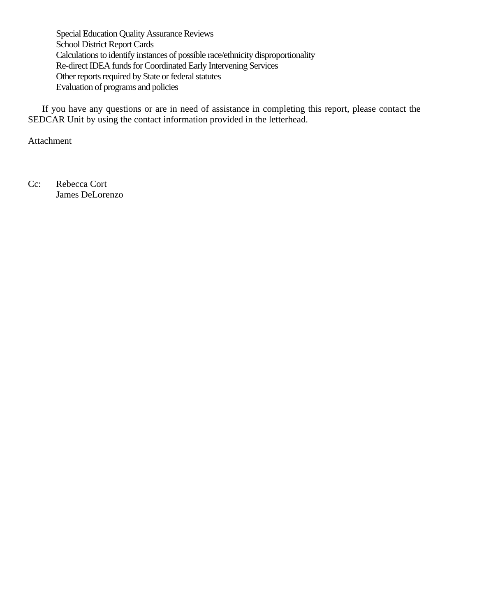Special Education Quality Assurance Reviews School District Report Cards Calculations to identify instances of possible race/ethnicity disproportionality Re-direct IDEA funds for Coordinated Early Intervening Services Other reports required by State or federal statutes Evaluation of programs and policies

If you have any questions or are in need of assistance in completing this report, please contact the SEDCAR Unit by using the contact information provided in the letterhead.

Attachment

Cc: Rebecca Cort James DeLorenzo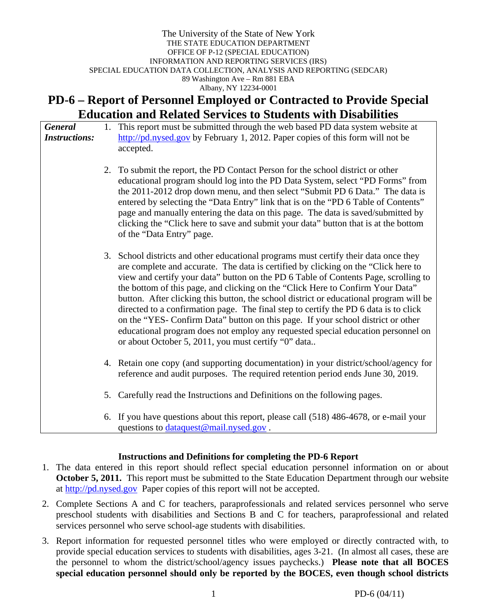#### The University of the State of New York THE STATE EDUCATION DEPARTMENT OFFICE OF P-12 (SPECIAL EDUCATION) INFORMATION AND REPORTING SERVICES (IRS) SPECIAL EDUCATION DATA COLLECTION, ANALYSIS AND REPORTING (SEDCAR) 89 Washington Ave – Rm 881 EBA Albany, NY 12234-0001

# **PD-6 – Report of Personnel Employed or Contracted to Provide Special Education and Related Services to Students with Disabilities**

| <b>General</b><br><b>Instructions:</b> |    | 1. This report must be submitted through the web based PD data system website at<br>$\frac{http://pd.nysed.gov}{}$ by February 1, 2012. Paper copies of this form will not be<br>accepted.                                                                                                                                                                                                                                                                                                                                                                                                                                                                                                                                                                           |  |  |  |  |  |
|----------------------------------------|----|----------------------------------------------------------------------------------------------------------------------------------------------------------------------------------------------------------------------------------------------------------------------------------------------------------------------------------------------------------------------------------------------------------------------------------------------------------------------------------------------------------------------------------------------------------------------------------------------------------------------------------------------------------------------------------------------------------------------------------------------------------------------|--|--|--|--|--|
|                                        | 2. | To submit the report, the PD Contact Person for the school district or other<br>educational program should log into the PD Data System, select "PD Forms" from<br>the 2011-2012 drop down menu, and then select "Submit PD 6 Data." The data is<br>entered by selecting the "Data Entry" link that is on the "PD 6 Table of Contents"<br>page and manually entering the data on this page. The data is saved/submitted by<br>clicking the "Click here to save and submit your data" button that is at the bottom<br>of the "Data Entry" page.                                                                                                                                                                                                                        |  |  |  |  |  |
|                                        |    | 3. School districts and other educational programs must certify their data once they<br>are complete and accurate. The data is certified by clicking on the "Click here to<br>view and certify your data" button on the PD 6 Table of Contents Page, scrolling to<br>the bottom of this page, and clicking on the "Click Here to Confirm Your Data"<br>button. After clicking this button, the school district or educational program will be<br>directed to a confirmation page. The final step to certify the PD 6 data is to click<br>on the "YES- Confirm Data" button on this page. If your school district or other<br>educational program does not employ any requested special education personnel on<br>or about October 5, 2011, you must certify "0" data |  |  |  |  |  |
|                                        |    | 4. Retain one copy (and supporting documentation) in your district/school/agency for<br>reference and audit purposes. The required retention period ends June 30, 2019.                                                                                                                                                                                                                                                                                                                                                                                                                                                                                                                                                                                              |  |  |  |  |  |
|                                        | 5. | Carefully read the Instructions and Definitions on the following pages.                                                                                                                                                                                                                                                                                                                                                                                                                                                                                                                                                                                                                                                                                              |  |  |  |  |  |
|                                        | 6. | If you have questions about this report, please call (518) 486-4678, or e-mail your<br>questions to <i>dataquest@mail.nysed.gov</i> .                                                                                                                                                                                                                                                                                                                                                                                                                                                                                                                                                                                                                                |  |  |  |  |  |

#### **Instructions and Definitions for completing the PD-6 Report**

- 1. The data entered in this report should reflect special education personnel information on or about **October 5, 2011.** This report must be submitted to the State Education Department through our website at http://pd.nysed.gov Paper copies of this report will not be accepted.
- 2. Complete Sections A and C for teachers, paraprofessionals and related services personnel who serve preschool students with disabilities and Sections B and C for teachers, paraprofessional and related services personnel who serve school-age students with disabilities.
- 3. Report information for requested personnel titles who were employed or directly contracted with, to provide special education services to students with disabilities, ages 3-21. (In almost all cases, these are the personnel to whom the district/school/agency issues paychecks.) **Please note that all BOCES special education personnel should only be reported by the BOCES, even though school districts**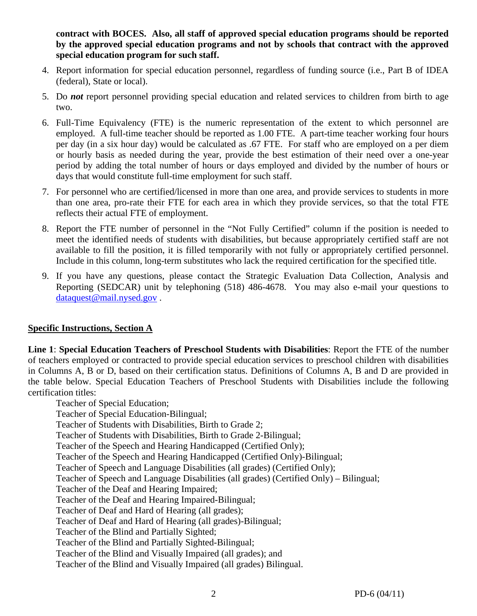**contract with BOCES. Also, all staff of approved special education programs should be reported by the approved special education programs and not by schools that contract with the approved special education program for such staff.** 

- 4. Report information for special education personnel, regardless of funding source (i.e., Part B of IDEA (federal), State or local).
- 5. Do *not* report personnel providing special education and related services to children from birth to age two.
- 6. Full-Time Equivalency (FTE) is the numeric representation of the extent to which personnel are employed. A full-time teacher should be reported as 1.00 FTE. A part-time teacher working four hours per day (in a six hour day) would be calculated as .67 FTE. For staff who are employed on a per diem or hourly basis as needed during the year, provide the best estimation of their need over a one-year period by adding the total number of hours or days employed and divided by the number of hours or days that would constitute full-time employment for such staff.
- 7. For personnel who are certified/licensed in more than one area, and provide services to students in more than one area, pro-rate their FTE for each area in which they provide services, so that the total FTE reflects their actual FTE of employment.
- 8. Report the FTE number of personnel in the "Not Fully Certified" column if the position is needed to meet the identified needs of students with disabilities, but because appropriately certified staff are not available to fill the position, it is filled temporarily with not fully or appropriately certified personnel. Include in this column, long-term substitutes who lack the required certification for the specified title.
- 9. If you have any questions, please contact the Strategic Evaluation Data Collection, Analysis and Reporting (SEDCAR) unit by telephoning (518) 486-4678. You may also e-mail your questions to dataquest@mail.nysed.gov.

### **Specific Instructions, Section A**

 certification titles: **Line 1**: **Special Education Teachers of Preschool Students with Disabilities**: Report the FTE of the number of teachers employed or contracted to provide special education services to preschool children with disabilities in Columns A, B or D, based on their certification status. Definitions of Columns A, B and D are provided in the table below. Special Education Teachers of Preschool Students with Disabilities include the following

Teacher of Special Education;

Teacher of Special Education-Bilingual;

Teacher of Students with Disabilities, Birth to Grade 2;

Teacher of Students with Disabilities, Birth to Grade 2-Bilingual;

Teacher of the Speech and Hearing Handicapped (Certified Only);

Teacher of the Speech and Hearing Handicapped (Certified Only)-Bilingual;

Teacher of Speech and Language Disabilities (all grades) (Certified Only);

Teacher of Speech and Language Disabilities (all grades) (Certified Only) – Bilingual;

Teacher of the Deaf and Hearing Impaired;

Teacher of the Deaf and Hearing Impaired-Bilingual;

Teacher of Deaf and Hard of Hearing (all grades);

Teacher of Deaf and Hard of Hearing (all grades)-Bilingual;

Teacher of the Blind and Partially Sighted;

Teacher of the Blind and Partially Sighted-Bilingual;

Teacher of the Blind and Visually Impaired (all grades); and

Teacher of the Blind and Visually Impaired (all grades) Bilingual.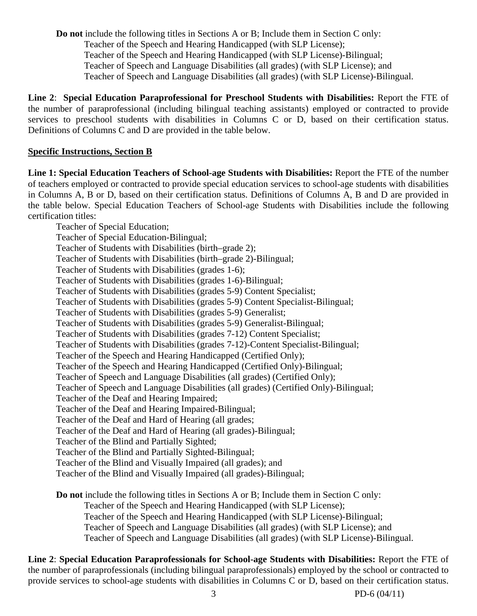**Do not** include the following titles in Sections A or B; Include them in Section C only: Teacher of the Speech and Hearing Handicapped (with SLP License); Teacher of the Speech and Hearing Handicapped (with SLP License)-Bilingual; Teacher of Speech and Language Disabilities (all grades) (with SLP License); and Teacher of Speech and Language Disabilities (all grades) (with SLP License)-Bilingual.

**Line 2**: **Special Education Paraprofessional for Preschool Students with Disabilities:** Report the FTE of the number of paraprofessional (including bilingual teaching assistants) employed or contracted to provide services to preschool students with disabilities in Columns C or D, based on their certification status. Definitions of Columns C and D are provided in the table below.

### **Specific Instructions, Section B**

**Line 1: Special Education Teachers of School-age Students with Disabilities:** Report the FTE of the number of teachers employed or contracted to provide special education services to school-age students with disabilities in Columns A, B or D, based on their certification status. Definitions of Columns A, B and D are provided in the table below. Special Education Teachers of School-age Students with Disabilities include the following certification titles:

Teacher of Special Education; Teacher of Special Education-Bilingual; Teacher of Students with Disabilities (birth–grade 2); Teacher of Students with Disabilities (birth–grade 2)-Bilingual; Teacher of Students with Disabilities (grades 1-6); Teacher of Students with Disabilities (grades 1-6)-Bilingual; Teacher of Students with Disabilities (grades 5-9) Content Specialist; Teacher of Students with Disabilities (grades 5-9) Content Specialist-Bilingual; Teacher of Students with Disabilities (grades 5-9) Generalist; Teacher of Students with Disabilities (grades 5-9) Generalist-Bilingual; Teacher of Students with Disabilities (grades 7-12) Content Specialist; Teacher of Students with Disabilities (grades 7-12)-Content Specialist-Bilingual; Teacher of the Speech and Hearing Handicapped (Certified Only); Teacher of the Speech and Hearing Handicapped (Certified Only)-Bilingual; Teacher of Speech and Language Disabilities (all grades) (Certified Only); Teacher of Speech and Language Disabilities (all grades) (Certified Only)-Bilingual; Teacher of the Deaf and Hearing Impaired; Teacher of the Deaf and Hearing Impaired-Bilingual; Teacher of the Deaf and Hard of Hearing (all grades; Teacher of the Deaf and Hard of Hearing (all grades)-Bilingual; Teacher of the Blind and Partially Sighted; Teacher of the Blind and Partially Sighted-Bilingual; Teacher of the Blind and Visually Impaired (all grades); and Teacher of the Blind and Visually Impaired (all grades)-Bilingual;

**Do not** include the following titles in Sections A or B; Include them in Section C only: Teacher of the Speech and Hearing Handicapped (with SLP License); Teacher of the Speech and Hearing Handicapped (with SLP License)-Bilingual; Teacher of Speech and Language Disabilities (all grades) (with SLP License); and Teacher of Speech and Language Disabilities (all grades) (with SLP License)-Bilingual.

**Line 2**: **Special Education Paraprofessionals for School-age Students with Disabilities:** Report the FTE of the number of paraprofessionals (including bilingual paraprofessionals) employed by the school or contracted to provide services to school-age students with disabilities in Columns C or D, based on their certification status.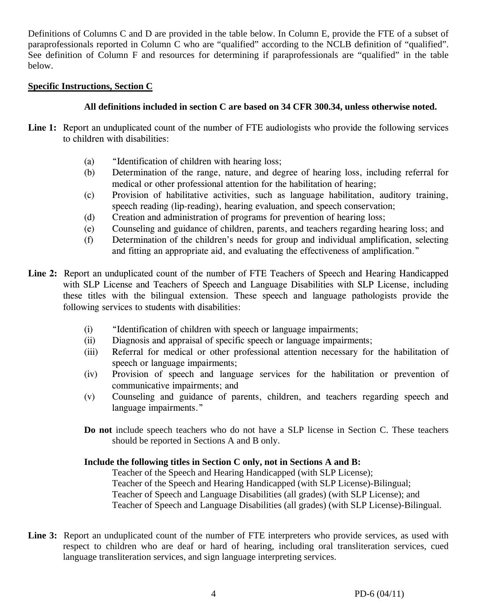Definitions of Columns C and D are provided in the table below. In Column E, provide the FTE of a subset of paraprofessionals reported in Column C who are "qualified" according to the NCLB definition of "qualified". See definition of Column F and resources for determining if paraprofessionals are "qualified" in the table below.

#### **Specific Instructions, Section C**

### **All definitions included in section C are based on 34 CFR 300.34, unless otherwise noted.**

- Line 1: Report an unduplicated count of the number of FTE audiologists who provide the following services to children with disabilities:
	- (a) "Identification of children with hearing loss;
	- (b) Determination of the range, nature, and degree of hearing loss, including referral for medical or other professional attention for the habilitation of hearing;
	- (c) Provision of habilitative activities, such as language habilitation, auditory training, speech reading (lip-reading), hearing evaluation, and speech conservation;
	- (d) Creation and administration of programs for prevention of hearing loss;
	- (e) Counseling and guidance of children, parents, and teachers regarding hearing loss; and
	- (f) Determination of the children's needs for group and individual amplification, selecting and fitting an appropriate aid, and evaluating the effectiveness of amplification."
- **Line 2:** Report an unduplicated count of the number of FTE Teachers of Speech and Hearing Handicapped with SLP License and Teachers of Speech and Language Disabilities with SLP License, including these titles with the bilingual extension. These speech and language pathologists provide the following services to students with disabilities:
	- (i) "Identification of children with speech or language impairments;
	- (ii) Diagnosis and appraisal of specific speech or language impairments;
	- (iii) Referral for medical or other professional attention necessary for the habilitation of speech or language impairments;
	- (iv) Provision of speech and language services for the habilitation or prevention of communicative impairments; and
	- (v) Counseling and guidance of parents, children, and teachers regarding speech and language impairments."
	- **Do not** include speech teachers who do not have a SLP license in Section C. These teachers should be reported in Sections A and B only.

### **Include the following titles in Section C only, not in Sections A and B:**

Teacher of the Speech and Hearing Handicapped (with SLP License); Teacher of the Speech and Hearing Handicapped (with SLP License)-Bilingual; Teacher of Speech and Language Disabilities (all grades) (with SLP License); and Teacher of Speech and Language Disabilities (all grades) (with SLP License)-Bilingual.

Line 3: Report an unduplicated count of the number of FTE interpreters who provide services, as used with respect to children who are deaf or hard of hearing, including oral transliteration services, cued language transliteration services, and sign language interpreting services.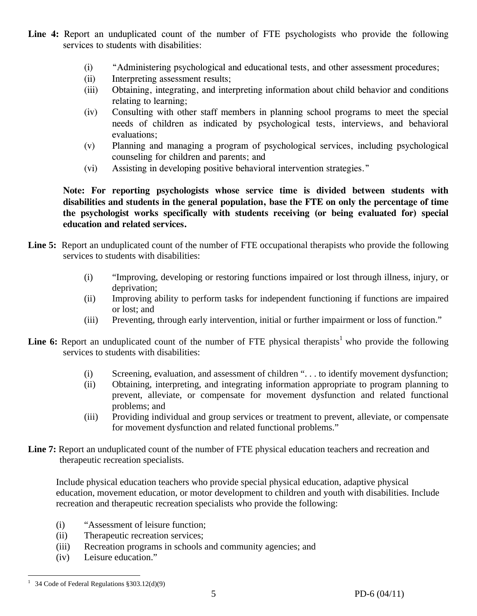- **Line 4:** Report an unduplicated count of the number of FTE psychologists who provide the following services to students with disabilities:
	- (i) "Administering psychological and educational tests, and other assessment procedures;
	- (ii) Interpreting assessment results;
	- (iii) Obtaining, integrating, and interpreting information about child behavior and conditions relating to learning;
	- (iv) Consulting with other staff members in planning school programs to meet the special needs of children as indicated by psychological tests, interviews, and behavioral evaluations;
	- (v) Planning and managing a program of psychological services, including psychological counseling for children and parents; and
	- (vi) Assisting in developing positive behavioral intervention strategies."

**Note: For reporting psychologists whose service time is divided between students with disabilities and students in the general population, base the FTE on only the percentage of time the psychologist works specifically with students receiving (or being evaluated for) special education and related services.** 

- Line 5: Report an unduplicated count of the number of FTE occupational therapists who provide the following services to students with disabilities:
	- (i) "Improving, developing or restoring functions impaired or lost through illness, injury, or deprivation;
	- (ii) Improving ability to perform tasks for independent functioning if functions are impaired or lost; and
	- (iii) Preventing, through early intervention, initial or further impairment or loss of function."
- **Line 6:** Report an unduplicated count of the number of FTE physical therapists<sup>1</sup> who provide the following services to students with disabilities:
	- (i) Screening, evaluation, and assessment of children ". . . to identify movement dysfunction;
	- (ii) Obtaining, interpreting, and integrating information appropriate to program planning to prevent, alleviate, or compensate for movement dysfunction and related functional problems; and
	- (iii) Providing individual and group services or treatment to prevent, alleviate, or compensate for movement dysfunction and related functional problems."
- Line 7: Report an unduplicated count of the number of FTE physical education teachers and recreation and therapeutic recreation specialists.

Include physical education teachers who provide special physical education, adaptive physical education, movement education, or motor development to children and youth with disabilities. Include recreation and therapeutic recreation specialists who provide the following:

- (i) "Assessment of leisure function;
- (ii) Therapeutic recreation services;
- (iii) Recreation programs in schools and community agencies; and
- (iv) Leisure education."

 $\overline{a}$ <sup>1</sup> 34 Code of Federal Regulations  $§ 303.12(d)(9)$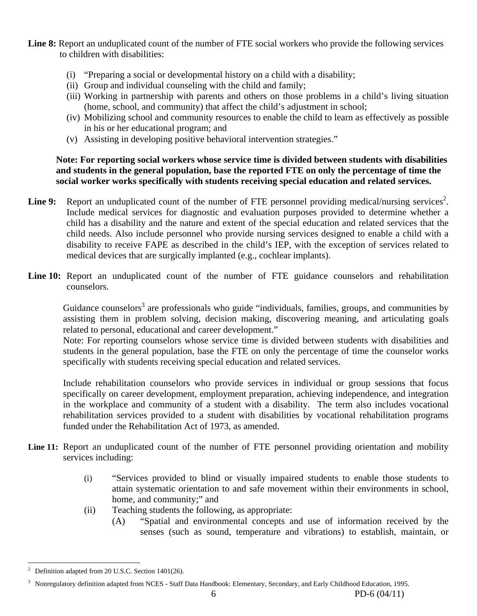**Line 8:** Report an unduplicated count of the number of FTE social workers who provide the following services to children with disabilities:

- (i) "Preparing a social or developmental history on a child with a disability;
- (ii) Group and individual counseling with the child and family;
- (iii) Working in partnership with parents and others on those problems in a child's living situation (home, school, and community) that affect the child's adjustment in school;
- (iv) Mobilizing school and community resources to enable the child to learn as effectively as possible in his or her educational program; and
- (v) Assisting in developing positive behavioral intervention strategies."

#### **Note: For reporting social workers whose service time is divided between students with disabilities and students in the general population, base the reported FTE on only the percentage of time the social worker works specifically with students receiving special education and related services.**

- Line 9: Report an unduplicated count of the number of FTE personnel providing medical/nursing services<sup>2</sup>. Include medical services for diagnostic and evaluation purposes provided to determine whether a child has a disability and the nature and extent of the special education and related services that the child needs. Also include personnel who provide nursing services designed to enable a child with a disability to receive FAPE as described in the child's IEP, with the exception of services related to medical devices that are surgically implanted (e.g., cochlear implants).
- Line 10: Report an unduplicated count of the number of FTE guidance counselors and rehabilitation counselors.

Guidance counselors<sup>3</sup> are professionals who guide "individuals, families, groups, and communities by assisting them in problem solving, decision making, discovering meaning, and articulating goals related to personal, educational and career development."

Note: For reporting counselors whose service time is divided between students with disabilities and students in the general population, base the FTE on only the percentage of time the counselor works specifically with students receiving special education and related services.

Include rehabilitation counselors who provide services in individual or group sessions that focus specifically on career development, employment preparation, achieving independence, and integration in the workplace and community of a student with a disability. The term also includes vocational rehabilitation services provided to a student with disabilities by vocational rehabilitation programs funded under the Rehabilitation Act of 1973, as amended.

- Line 11: Report an unduplicated count of the number of FTE personnel providing orientation and mobility services including:
	- (i) "Services provided to blind or visually impaired students to enable those students to attain systematic orientation to and safe movement within their environments in school, home, and community;" and
	- (ii) Teaching students the following, as appropriate:
		- (A) "Spatial and environmental concepts and use of information received by the senses (such as sound, temperature and vibrations) to establish, maintain, or

 $\overline{a}$ 2 Definition adapted from 20 U.S.C. Section 1401(26).

<sup>&</sup>lt;sup>3</sup> Nonregulatory definition adapted from NCES - Staff Data Handbook: Elementary, Secondary, and Early Childhood Education, 1995.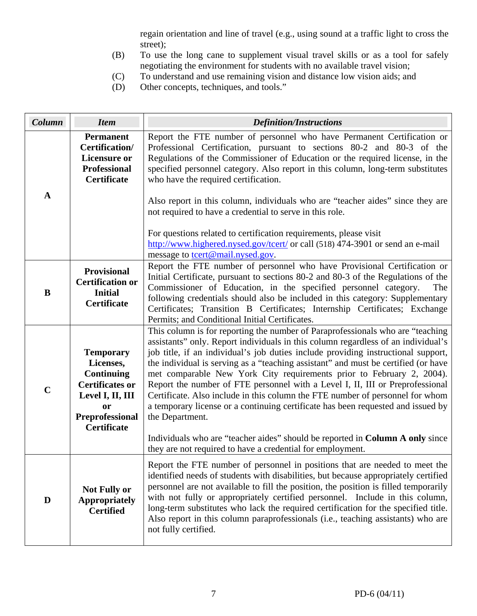regain orientation and line of travel (e.g., using sound at a traffic light to cross the street);

- (B) To use the long cane to supplement visual travel skills or as a tool for safely negotiating the environment for students with no available travel vision;
- (C) To understand and use remaining vision and distance low vision aids; and
- (D) Other concepts, techniques, and tools."

| Column      | <b>Item</b>                                                                                                                                                   | <b>Definition/Instructions</b>                                                                                                                                                                                                                                                                                                                                                                                                                                                                                                                                                                                                                                                                   |
|-------------|---------------------------------------------------------------------------------------------------------------------------------------------------------------|--------------------------------------------------------------------------------------------------------------------------------------------------------------------------------------------------------------------------------------------------------------------------------------------------------------------------------------------------------------------------------------------------------------------------------------------------------------------------------------------------------------------------------------------------------------------------------------------------------------------------------------------------------------------------------------------------|
|             | <b>Permanent</b><br>Certification/<br><b>Licensure or</b><br><b>Professional</b><br><b>Certificate</b>                                                        | Report the FTE number of personnel who have Permanent Certification or<br>Professional Certification, pursuant to sections 80-2 and 80-3 of the<br>Regulations of the Commissioner of Education or the required license, in the<br>specified personnel category. Also report in this column, long-term substitutes<br>who have the required certification.                                                                                                                                                                                                                                                                                                                                       |
| A           |                                                                                                                                                               | Also report in this column, individuals who are "teacher aides" since they are<br>not required to have a credential to serve in this role.                                                                                                                                                                                                                                                                                                                                                                                                                                                                                                                                                       |
|             |                                                                                                                                                               | For questions related to certification requirements, please visit<br>http://www.highered.nysed.gov/tcert/ or call (518) 474-3901 or send an e-mail<br>message to <b>tcert@mail.nysed.gov</b> .                                                                                                                                                                                                                                                                                                                                                                                                                                                                                                   |
| B           | <b>Provisional</b><br><b>Certification or</b><br><b>Initial</b><br><b>Certificate</b>                                                                         | Report the FTE number of personnel who have Provisional Certification or<br>Initial Certificate, pursuant to sections 80-2 and 80-3 of the Regulations of the<br>Commissioner of Education, in the specified personnel category.<br>The<br>following credentials should also be included in this category: Supplementary<br>Certificates; Transition B Certificates; Internship Certificates; Exchange<br>Permits; and Conditional Initial Certificates.                                                                                                                                                                                                                                         |
| $\mathbf C$ | <b>Temporary</b><br>Licenses,<br><b>Continuing</b><br><b>Certificates or</b><br>Level I, II, III<br><b>or</b><br><b>Preprofessional</b><br><b>Certificate</b> | This column is for reporting the number of Paraprofessionals who are "teaching<br>assistants" only. Report individuals in this column regardless of an individual's<br>job title, if an individual's job duties include providing instructional support,<br>the individual is serving as a "teaching assistant" and must be certified (or have<br>met comparable New York City requirements prior to February 2, 2004).<br>Report the number of FTE personnel with a Level I, II, III or Preprofessional<br>Certificate. Also include in this column the FTE number of personnel for whom<br>a temporary license or a continuing certificate has been requested and issued by<br>the Department. |
|             |                                                                                                                                                               | Individuals who are "teacher aides" should be reported in Column A only since<br>they are not required to have a credential for employment.                                                                                                                                                                                                                                                                                                                                                                                                                                                                                                                                                      |
| D           | <b>Not Fully or</b><br><b>Appropriately</b><br><b>Certified</b>                                                                                               | Report the FTE number of personnel in positions that are needed to meet the<br>identified needs of students with disabilities, but because appropriately certified<br>personnel are not available to fill the position, the position is filled temporarily<br>with not fully or appropriately certified personnel. Include in this column,<br>long-term substitutes who lack the required certification for the specified title.<br>Also report in this column paraprofessionals (i.e., teaching assistants) who are<br>not fully certified.                                                                                                                                                     |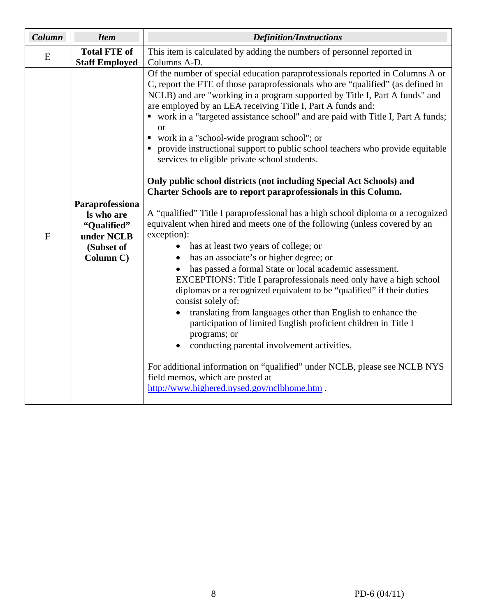| Column       | <b>Item</b>                                                                           | <b>Definition/Instructions</b>                                                                                                                                                                                                                                                                                                                                                                                                                                                                                                                                                                                                                                                                                                                                                                                                                                                                                                                                                                                                                                                                                                                                                                                                                                                                                                                                                                                                                                                                                                                                                                                                                   |  |  |  |  |  |
|--------------|---------------------------------------------------------------------------------------|--------------------------------------------------------------------------------------------------------------------------------------------------------------------------------------------------------------------------------------------------------------------------------------------------------------------------------------------------------------------------------------------------------------------------------------------------------------------------------------------------------------------------------------------------------------------------------------------------------------------------------------------------------------------------------------------------------------------------------------------------------------------------------------------------------------------------------------------------------------------------------------------------------------------------------------------------------------------------------------------------------------------------------------------------------------------------------------------------------------------------------------------------------------------------------------------------------------------------------------------------------------------------------------------------------------------------------------------------------------------------------------------------------------------------------------------------------------------------------------------------------------------------------------------------------------------------------------------------------------------------------------------------|--|--|--|--|--|
| E            | <b>Total FTE of</b><br><b>Staff Employed</b>                                          | This item is calculated by adding the numbers of personnel reported in<br>Columns A-D.                                                                                                                                                                                                                                                                                                                                                                                                                                                                                                                                                                                                                                                                                                                                                                                                                                                                                                                                                                                                                                                                                                                                                                                                                                                                                                                                                                                                                                                                                                                                                           |  |  |  |  |  |
| $\mathbf{F}$ | Paraprofessiona<br>Is who are<br>"Qualified"<br>under NCLB<br>(Subset of<br>Column C) | Of the number of special education paraprofessionals reported in Columns A or<br>C, report the FTE of those paraprofessionals who are "qualified" (as defined in<br>NCLB) and are "working in a program supported by Title I, Part A funds" and<br>are employed by an LEA receiving Title I, Part A funds and:<br>• work in a "targeted assistance school" and are paid with Title I, Part A funds;<br><b>or</b><br>• work in a "school-wide program school"; or<br>• provide instructional support to public school teachers who provide equitable<br>services to eligible private school students.<br>Only public school districts (not including Special Act Schools) and<br>Charter Schools are to report paraprofessionals in this Column.<br>A "qualified" Title I paraprofessional has a high school diploma or a recognized<br>equivalent when hired and meets one of the following (unless covered by an<br>exception):<br>has at least two years of college; or<br>$\bullet$<br>has an associate's or higher degree; or<br>$\bullet$<br>has passed a formal State or local academic assessment.<br>EXCEPTIONS: Title I paraprofessionals need only have a high school<br>diplomas or a recognized equivalent to be "qualified" if their duties<br>consist solely of:<br>translating from languages other than English to enhance the<br>participation of limited English proficient children in Title I<br>programs; or<br>conducting parental involvement activities.<br>For additional information on "qualified" under NCLB, please see NCLB NYS<br>field memos, which are posted at<br>http://www.highered.nysed.gov/nclbhome.htm. |  |  |  |  |  |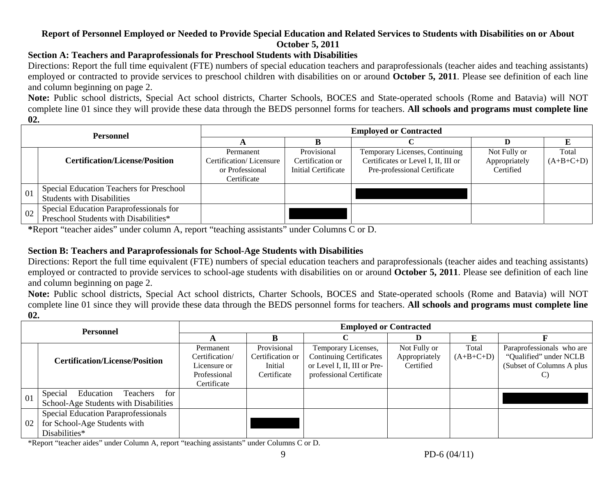### **Report of Personnel Employed or Needed to Provide Special Education and Related Services to Students with Disabilities on or About October 5, 2011**

### **Section A: Teachers and Paraprofessionals for Preschool Students with Disabilities**

Directions: Report the full time equivalent (FTE) numbers of special education teachers and paraprofessionals (teacher aides and teaching assistants) employed or contracted to provide services to preschool children with disabilities on or around **October 5, 2011**. Please see definition of each line and column beginning on page 2.

**Note:** Public school districts, Special Act school districts, Charter Schools, BOCES and State-operated schools (Rome and Batavia) will NOT complete line 01 since they will provide these data through the BEDS personnel forms for teachers. **All schools and programs must complete line 02.** 

| <b>Personnel</b> |                                                                                  | <b>Employed or Contracted</b>                                          |                                                        |                                                                                                       |                                            |                      |  |  |  |
|------------------|----------------------------------------------------------------------------------|------------------------------------------------------------------------|--------------------------------------------------------|-------------------------------------------------------------------------------------------------------|--------------------------------------------|----------------------|--|--|--|
|                  |                                                                                  |                                                                        |                                                        |                                                                                                       |                                            |                      |  |  |  |
|                  | <b>Certification/License/Position</b>                                            | Permanent<br>Certification/Licensure<br>or Professional<br>Certificate | Provisional<br>Certification or<br>Initial Certificate | Temporary Licenses, Continuing<br>Certificates or Level I, II, III or<br>Pre-professional Certificate | Not Fully or<br>Appropriately<br>Certified | Total<br>$(A+B+C+D)$ |  |  |  |
| 01               | Special Education Teachers for Preschool<br><b>Students with Disabilities</b>    |                                                                        |                                                        |                                                                                                       |                                            |                      |  |  |  |
| 02               | Special Education Paraprofessionals for<br>Preschool Students with Disabilities* |                                                                        |                                                        |                                                                                                       |                                            |                      |  |  |  |

**\***Report "teacher aides" under column A, report "teaching assistants" under Columns C or D.

## **Section B: Teachers and Paraprofessionals for School-Age Students with Disabilities**

Directions: Report the full time equivalent (FTE) numbers of special education teachers and paraprofessionals (teacher aides and teaching assistants) employed or contracted to provide services to school-age students with disabilities on or around **October 5, 2011**. Please see definition of each line and column beginning on page 2.

**Note:** Public school districts, Special Act school districts, Charter Schools, BOCES and State-operated schools (Rome and Batavia) will NOT complete line 01 since they will provide these data through the BEDS personnel forms for teachers. **All schools and programs must complete line 02.** 

| <b>Personnel</b> |                                         | <b>Employed or Contracted</b> |                  |                                |               |             |                           |  |
|------------------|-----------------------------------------|-------------------------------|------------------|--------------------------------|---------------|-------------|---------------------------|--|
|                  |                                         |                               |                  |                                |               |             |                           |  |
|                  |                                         | Permanent                     | Provisional      | Temporary Licenses,            | Not Fully or  | Total       | Paraprofessionals who are |  |
|                  | <b>Certification/License/Position</b>   | Certification/                | Certification or | <b>Continuing Certificates</b> | Appropriately | $(A+B+C+D)$ | "Qualified" under NCLB    |  |
|                  |                                         | Licensure or                  | Initial          | or Level I, II, III or Pre-    | Certified     |             | (Subset of Columns A plus |  |
|                  |                                         | Professional                  | Certificate      | professional Certificate       |               |             | C)                        |  |
|                  |                                         | Certificate                   |                  |                                |               |             |                           |  |
| 01               | Special<br>Education<br>Teachers<br>for |                               |                  |                                |               |             |                           |  |
|                  | School-Age Students with Disabilities   |                               |                  |                                |               |             |                           |  |
| 02               | Special Education Paraprofessionals     |                               |                  |                                |               |             |                           |  |
|                  | for School-Age Students with            |                               |                  |                                |               |             |                           |  |
|                  | Disabilities*                           |                               |                  |                                |               |             |                           |  |

\*Report "teacher aides" under Column A, report "teaching assistants" under Columns C or D.